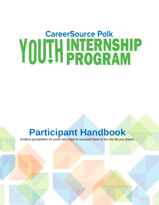# **CareerSource Polk YOU!H INTERNSHIP**

## **Participant Handbook**

*Endless possibilities for youth who want to succeed! Dare to live the life you dream.*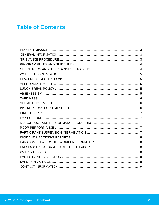### **Table of Contents**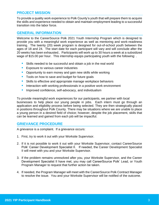#### **PROJECT MISSION**

To provide a quality work experience to Polk County's youth that will prepare them to acquire the skills and experience needed to obtain and maintain employment leading to a successful transition into the labor force.

#### **GENERAL INFORMATION**

Welcome to the CareerSource Polk 2021 Youth Internship Program which is designed to provide you with a meaningful work experience as well as mentoring and work-readiness training. The twenty (20) week program is designed for out-of-school youth between the ages of 18 and 24. The start date for each participant will vary and will conclude after the 20 weeks has been exhausted.. Participants will work up to 30 hours a week at a subsidized wage of \$15.00 per hour. This internship equips participating youth with the following: .

- Skills needed to be successful and obtain a job in the real world
- **Exposure to various career industries**
- **Opportunity to earn money and gain new skills while working**
- Tools on how to save and budget for future goals
- Skills to effective and appropriate manage workplace behaviors
- **E** Interaction with working professionals in a positive work environment
- **E** Improved confidence, self-advocacy, and individualism

To provide meaningful work experiences for our participants, we partner with local businesses to help place our young people in jobs. Each intern must go through an application and eligibility process before being selected. They are then strategically placed in positions throughout Polk County. There may be situations where we are unable to place a young person in a desired field of choice; however, despite the job placement, skills that can be learned and gained from each job will be impactful.

#### **GRIEVANCE PROCEDURE**

A grievance is a complaint. If a grievance occurs:

- 1. First, try to work it out with your Worksite Supervisor.
- 2. If it is not possible to work it out with your Worksite Supervisor, contact CareerSource Polk' Career Development Specialist II. If needed, the Career Development Specialist II will meet with you and your Worksite Supervisor.
- 3. If the problem remains unresolved after you, your Worksite Supervisor, and the Career Development Specialist II have met, you may call CareerSource Polk' Lead, or Youth Program Manager to request that further action be taken.
- 4. If needed, the Program Manager will meet with the CareerSource Polk Contract Manager to resolve the issue. You and your Worksite Supervisor will be notified of the outcome.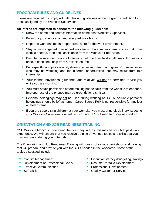#### **PROGRAM RULES AND GUIDELINES**

Interns are required to comply with all rules and guidelines of the program, in addition to those assigned by the Worksite Supervisor.

#### **All interns are expected to adhere to the following guidelines:**

- Know the name and contact information of the host Worksite Supervisor.
- Know the job site location and assigned work hours.
- Report to work on time in proper dress attire for the work environment.
- Stay actively engaged in assigned work tasks. If a summer intern notices that more work is needed, then seek assistance from the Worksite Supervisor.
- Despite the assigned tasks, all interns should do their best at all times. If questions arise, please seek help from a reliable source.
- Be respectful and professional, showing a desire to learn and grow. You never know who may be watching and the different opportunities that may result from this internship.
- **E** Your friends, boyfriends, girlfriends, and relatives will not be permitted to visit you while you are working.
- You must obtain permission before making phone calls from the worksite telephones. Improper use of the phones may be grounds for dismissal.
- **Personal belongings may not be used during working hours. All valuable personal** belongings should be left at home. CareerSource Polk is not responsible for any lost or stolen items.
- **E** If you are supervising children at your worksite, you must bring disciplinary issues to your Worksite Supervisor's attention. You are NOT allowed to discipline children.

#### **ORIENTATION AND JOB READINESS TRAINING**

CSP Worksite Monitors understand that for many interns, this may be your first paid work experience. We will ensure that you receive training on various topics and skills that you may encounter during your internship.

The Orientation and Job Readiness Training will consist of various workshops and training that will prepare and provide you with the skills needed in the workforce. Some of the topics discussed include:

- Conflict Management
- Development of Professional Goals
- **Effective Communication**
- Soft Skills
- **EXECUTE:** Financial Literacy (budgeting, saving)
- Resume/Portfolio Development
- **Professional Development**
- Quality Customer Service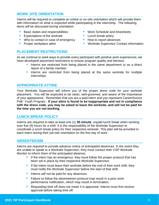#### **WORK SITE ORIENTATION**

Interns will be required to complete an online or on-site orientation which will provide them with information on what is expected while participating in the internship. The following items will be discussed during orientation:

- Basic duties and responsibilities
- Expectations of the worksite
- Who to contact in case of emergency
- **Proper workplace attire**
- Work Schedule and timesheets
- **E** Lunch-break policy
- How to report absences
- Worksite Supervisor Contact information

#### **PLACEMENT RESTRICTIONS**

As we continue to seek ways to provide every participant with positive work experiences, we have developed placement restrictions to ensure program quality and fairness.

- **EXT** Interns are restricted from being placed in the same department or as a direct report of a family member.
- **·** Interns are restricted from being placed at the same worksite for multiple internships.

#### **APPROPRIATE ATTIRE**

Your Worksite Supervisor will inform you of the proper dress code for your worksite placement. You will be expected to be clean, well-groomed, and aware of the importance of your appearance. Remember that you are a paid intern and you represent CareerSource Polk' Youth Program. **If your attire is found to be inappropriate and not in compliance with the dress code, you may be asked to leave the worksite, and will not be paid for the time you are not working.**

#### **LUNCH BREAK POLICY**

Interns are required to take at least one (1) **30 minute**, unpaid lunch break when working over five (5) hours for a shift. It is the responsibility of the Worksite Supervisor to coordinate a lunch break policy for their respective worksite. This plan will be provided to each intern during their job-site orientation on the first day of work.

#### **ABSENTEEISM**

Interns are required to provide advance notice of anticipated absences. In the event they are unable to speak to a Worksite Supervisor, they must contact their CSP Worksite Monitor to inform them of the anticipated absence.

- If the intern has an emergency, they must follow the proper protocol that has been set in place by their respective Worksite Supervisor.
- **EXT** If the intern must leave their worksite before the end of their work shift, they must notify the Worksite Supervisor before the start of that shift.
- **If** Interns will not be paid for any absences.
- Failure to follow the absenteeism protocol may result in a poor work performance notification, which may result in termination.
- Requesting time off does not mean it is approved. Interns must first receive approval before taking time off.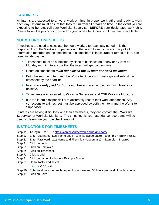#### **TARDINESS**

All interns are expected to arrive at work on time, in proper work attire and ready to work each day. Interns must ensure that they return from all breaks on time. In the event you are expecting to be late, call your Worksite Supervisor **BEFORE** your designated work shift. Please follow the protocols provided by your Worksite Supervisor if they are unavailable.

#### **SUBMITTING TIMESHEETS**

Timesheets are used to calculate the hours worked for each pay period. It is the responsibility of the Worksite Supervisor and the intern to verify the accuracy of all information recorded on the timesheets. If a timesheet is inaccurate or turned in late, can result in late payment.

- **E** Timesheets must be submitted by close of business on Friday or by 9am on Monday morning to ensure that the intern will get paid on time.
- Hours on timesheets *must not exceed the 30 hour per week maximum.*
- Both the summer intern and the Worksite Supervisor must sign and submit the timesheet by the deadline.
- **EXT** Interns *are only paid for hours worked* and are not paid for lunch breaks or holidays.
- **Timesheets are reviewed by Worksite Supervisor and CSP Worksite Monitors.**
- It is the intern's responsibility to accurately record their work attendance. Any corrections to a timesheet must be approved by both the intern and the Worksite Supervisor.

If interns are having difficulties with their timesheets, they can contact their Worksite Supervisor or Worksite Monitors. The timesheet is your attendance record and will be used to determine your paycheck amount.

#### **INSTRUCTIONS FOR TIMESHEETS**

- Step 1: To login: Use URL: https://careersourcesyep-online.ghg.com/
- Step 2: Enter Username: Last Name and First Initial (Uppercase) Example = BrownK5522
- Step 3: Enter Password: Last Name and First Initial (Uppercase) Example = BrownK
- Step 4: Click on Login
- Step 5: Click on Employee
- Step 6: Click on Timesheet
- Step 7: Click to add
- Step 8: Click on name of job site Example Disney
- Step 9: Go to Task# and select
	- WIOA Youth
- Step 10: Enter total hours for each day Must not exceed 30 hours per week. Lunch is unpaid
- Step 11: Click on Save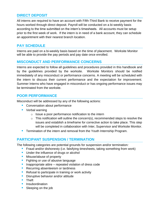#### **DIRECT DEPOSIT**

All interns are required to have an account with Fifth-Third Bank to receive payment for the hours worked through direct deposit. Payroll will be conducted on a bi-weekly basis according to the time submitted on the intern's timesheets. All accounts must be setup prior to the first week of work. If the intern is in need of a bank account, they can schedule an appointment with their nearest branch location.

#### **PAY SCHEDULE**

Interns are paid on a bi-weekly basis based on the time of placement. Worksite Monitor will be able to provide the pay periods and pay date once enrolled.

#### **MISCONDUCT AND PERFORMANCE CONCERNS**

Interns are expected to follow all guidelines and procedures provided in this handbook and by the guidelines provided by the worksite. Worksite Monitors should be notified immediately of any misconduct or performance concerns. A meeting will be scheduled with the intern to discuss their current performance and the expectation for improvement. Summer Interns who have engaged in misconduct or has ongoing performance issues may be terminated from the worksite.

#### **POOR PERFORMANCE**

Misconduct will be addressed by any of the following actions:

- Conversation about performance
- Verbal warning
	- $\circ$  Issue a poor performance notification to the intern
	- $\circ$  This notification will outline the concern(s), recommended steps to resolve the issues and establish a timeframe for corrective action to take place. This step will be completed in collaboration with Inter, Supervisor and Worksite Monitor.
- **EXT** Termination of the intern and removal from the Youth Internship Program.

#### **PARTICIPANT SUSPENSION / TERMINATION**

The following categories are potential grounds for suspension and/or termination*:*

- **E** Fraud and/or dishonesty (i.e. falsifying timesheets, taking something from work)
- **■** Under the influence of drugs or alcohol
- **■** Misuse/abuse of property
- Fighting or use of abusive language
- Inappropriate attire repeated violation of dress code
- Recurring absenteeism or tardiness
- Refusal to participate in training or work activity
- Disruptive behavior and/or attitude
- Theft
- **·** Insubordination
- Sleeping on the job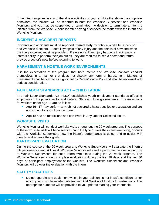If the intern engages in any of the above activities or your exhibits the above inappropriate behaviors, the incident will be reported to both the Worksite Supervisor and Worksite Monitors, and you may be suspended or terminated. A decision to terminate a intern is initiated from the Worksite Supervisor after having discussed the matter with the intern and Worksite Monitors.

#### **INCIDENT & ACCIDENT REPORTS**

Incidents and accidents must be reported **immediately** by notify a Worksite Supervisor and Worksite Monitors. A detail synopsis of any injury and the details of how and when the injury occurred must be provided. Please note: If an injury happens that impacts a intern's ability to perform their job duties, they are required to see a doctor and return provide a doctor's note before returning to work.

#### **HARASSMENT & HOSTILE WORK ENVIRONMENTS**

It is the expectation of the program that both interns and Worksite Monitors conduct themselves in a manner that does not display any form of harassment. Matters of harassment shall be viewed as significant by CareerSource Polk and shall be reviewed with serious consideration.

#### **FAIR LABOR STANDARDS ACT – CHILD LABOR**

The Fair Labor Standards Act (FLSA) establishes youth employment standards affecting employees in the private sector and Federal, State and local governments. The restrictions for workers under age 18 are as follows:

- Age 16 17 may perform any job not declared a hazardous job or occupation and are not subject to restrictions on hours.
- Age 18 has no restrictions and can Work in Any Job for Unlimited Hours.

#### **WORKSITE VISITS**

Worksite Monitor will conduct worksite visits throughout the 20-week program. The purpose of these worksite visits will be to see first-hand the type of work the interns are doing, discuss with the Worksite Supervisors how the intern's performance is going, and to assist with identify and achieve their goals.

#### **PARTICIPANT EVALUATION**

During the course of the 20-week program, Worksite Supervisors will evaluate the intern's job performance and skill level. Worksite Monitors will send a performance evaluation form to Worksite Supervisors for each intern **two** times during the 20-week program. The Worksite Supervisor should complete evaluations during the first 30 days and the last 30 days of participant employment at the worksite. The Worksite Supervisor and Worksite Monitors will go over the evaluation with the intern.

#### **SAFETY PRACTICES**

■ Do not operate any equipment which, in your opinion, is not in safe condition, or for which you do not have adequate training. Call Worksite Monitors for instructions. The appropriate numbers will be provided to you, prior to starting your Internship.